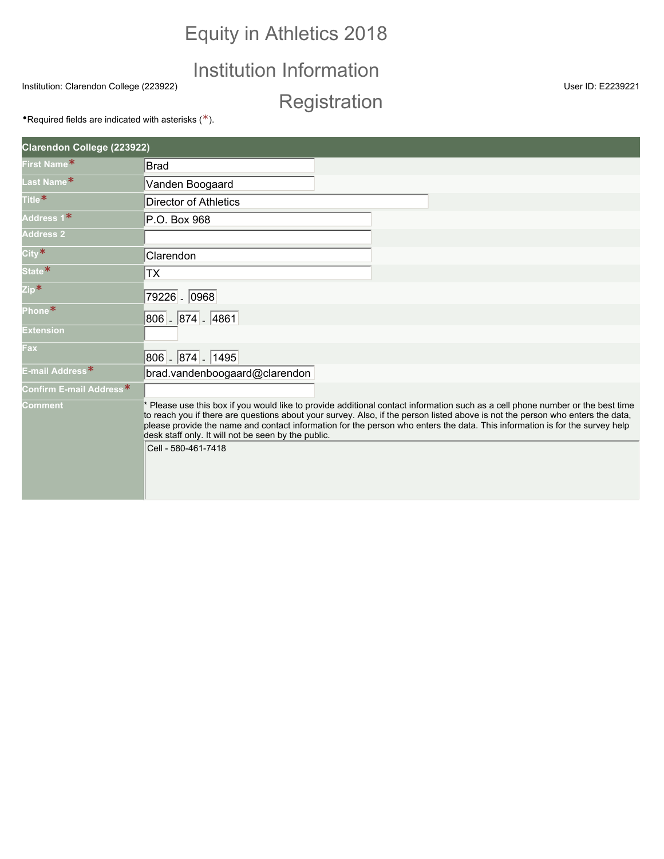## Equity in Athletics 2018

## Institution Information

Institution: Clarendon College (223922) User ID: E2239221

**Registration** 

**•Required fields are indicated with asterisks (\*).** 

| Clarendon College (223922)  |                                                                                                                                                                                                                                                                                                                                                                                                                                                                               |
|-----------------------------|-------------------------------------------------------------------------------------------------------------------------------------------------------------------------------------------------------------------------------------------------------------------------------------------------------------------------------------------------------------------------------------------------------------------------------------------------------------------------------|
| First Name*                 | <b>Brad</b>                                                                                                                                                                                                                                                                                                                                                                                                                                                                   |
| Last Name*                  | Vanden Boogaard                                                                                                                                                                                                                                                                                                                                                                                                                                                               |
| Title <sup>*</sup>          | <b>Director of Athletics</b>                                                                                                                                                                                                                                                                                                                                                                                                                                                  |
| Address 1*                  | P.O. Box 968                                                                                                                                                                                                                                                                                                                                                                                                                                                                  |
| <b>Address 2</b>            |                                                                                                                                                                                                                                                                                                                                                                                                                                                                               |
| $City*$                     | Clarendon                                                                                                                                                                                                                                                                                                                                                                                                                                                                     |
| State <sup>*</sup>          | <b>TX</b>                                                                                                                                                                                                                                                                                                                                                                                                                                                                     |
| Zip*                        | 79226 - 0968                                                                                                                                                                                                                                                                                                                                                                                                                                                                  |
| Phone*                      | 806 - 874 - 4861                                                                                                                                                                                                                                                                                                                                                                                                                                                              |
| <b>Extension</b>            |                                                                                                                                                                                                                                                                                                                                                                                                                                                                               |
| Fax                         | 806 - 874 - 1495                                                                                                                                                                                                                                                                                                                                                                                                                                                              |
| E-mail Address <sup>*</sup> | brad.vandenboogaard@clarendon                                                                                                                                                                                                                                                                                                                                                                                                                                                 |
| Confirm E-mail Address*     |                                                                                                                                                                                                                                                                                                                                                                                                                                                                               |
| <b>Comment</b>              | * Please use this box if you would like to provide additional contact information such as a cell phone number or the best time<br>to reach you if there are questions about your survey. Also, if the person listed above is not the person who enters the data,<br>please provide the name and contact information for the person who enters the data. This information is for the survey help<br>desk staff only. It will not be seen by the public.<br>Cell - 580-461-7418 |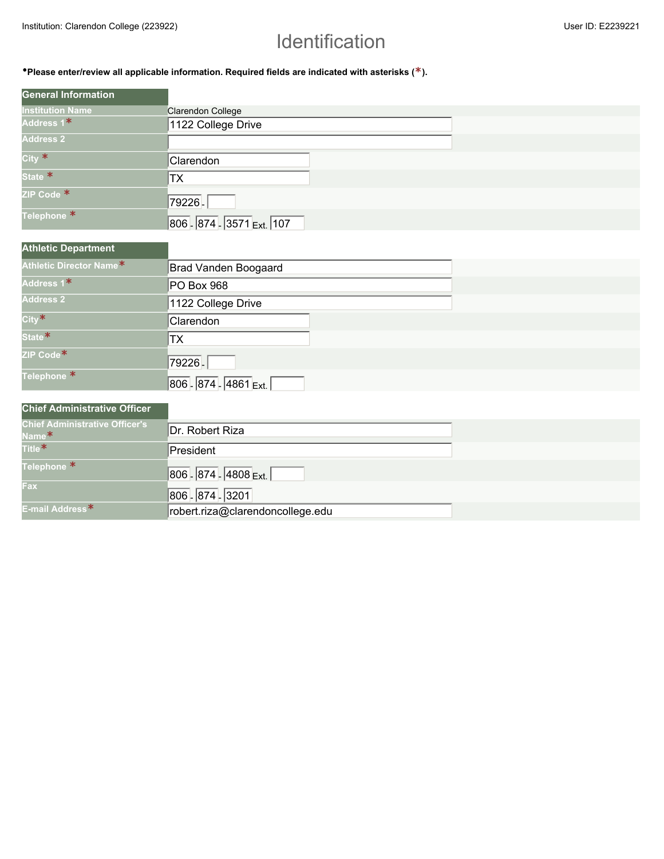## Identification

•**Please enter/review all applicable information. Required fields are indicated with asterisks (\*).**

| <b>General Information</b> |                           |
|----------------------------|---------------------------|
| <b>Institution Name</b>    | Clarendon College         |
| Address 1*                 | 1122 College Drive        |
| <b>Address 2</b>           |                           |
| City $*$                   | Clarendon                 |
| State <sup>*</sup>         | TX                        |
| ZIP Code *                 | 79226.                    |
| Telephone <sup>*</sup>     | 806 - 874 - 3571 Ext. 107 |

| <b>Athletic Department</b> |                       |  |
|----------------------------|-----------------------|--|
| Athletic Director Name*    | Brad Vanden Boogaard  |  |
| Address 1*                 | PO Box 968            |  |
| <b>Address 2</b>           | 1122 College Drive    |  |
| City*                      | Clarendon             |  |
| State <sup>*</sup>         | ТX                    |  |
| ZIP Code*                  | 79226.                |  |
| Telephone <sup>*</sup>     | 806 - 874 - 4861 Ext. |  |

#### **Chief Administrative Officer**

| <b>Chief Administrative Officer's</b><br>Name <sup>*</sup> | Dr. Robert Riza                  |
|------------------------------------------------------------|----------------------------------|
| Title <sup>*</sup>                                         | President                        |
| Telephone <sup>*</sup>                                     | 806 - 874 - 4808 Ext.            |
| Fax                                                        | 806 - 874 - 3201                 |
| E-mail Address <sup>*</sup>                                | robert.riza@clarendoncollege.edu |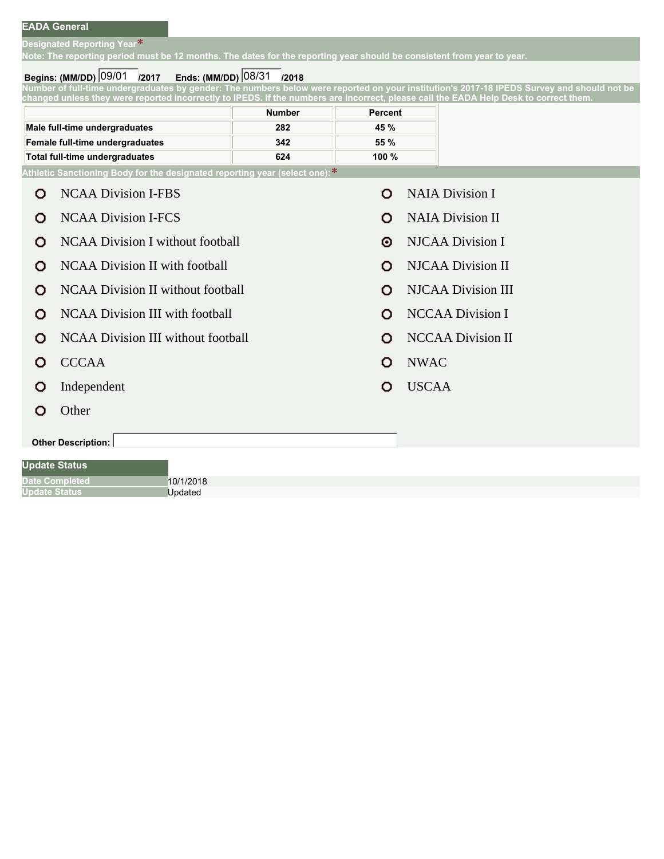**Designated Reporting Year\***

**Note: The reporting period must be 12 months. The dates for the reporting year should be consistent from year to year.**

#### **Begins: (MM/DD) /2017 Ends: (MM/DD) /2018** 09/01 08/31

**Number of full-time undergraduates by gender: The numbers below were reported on your institution's 2017-18 IPEDS Survey and should not be changed unless they were reported incorrectly to IPEDS. If the numbers are incorrect, please call the EADA Help Desk to correct them.**

|                                 | <b>Number</b> | Percent |
|---------------------------------|---------------|---------|
| Male full-time undergraduates   | 282           | 45 %    |
| Female full-time undergraduates | 342           | 55%     |
| Total full-time undergraduates  | 624           | 100 $%$ |

**Athletic Sanctioning Body for the designated reporting year (select one):\***

|                    | O                    | <b>NCAA Division I-FBS</b>               | Ω | <b>NAIA Division I</b>    |  |  |  |  |
|--------------------|----------------------|------------------------------------------|---|---------------------------|--|--|--|--|
|                    | О                    | <b>NCAA Division I-FCS</b>               | Ο | <b>NAIA Division II</b>   |  |  |  |  |
|                    | О                    | <b>NCAA Division I without football</b>  | Θ | <b>NJCAA Division I</b>   |  |  |  |  |
|                    | О                    | <b>NCAA Division II with football</b>    | О | <b>NJCAA Division II</b>  |  |  |  |  |
|                    | Ω                    | <b>NCAA Division II without football</b> | Ω | <b>NJCAA Division III</b> |  |  |  |  |
|                    | О                    | <b>NCAA Division III with football</b>   | Ο | <b>NCCAA Division I</b>   |  |  |  |  |
|                    | Ω                    | NCAA Division III without football       | Ω | <b>NCCAA Division II</b>  |  |  |  |  |
|                    | Ω                    | <b>CCCAA</b>                             | Ω | <b>NWAC</b>               |  |  |  |  |
|                    | О                    | Independent                              | Ο | <b>USCAA</b>              |  |  |  |  |
|                    | Ω                    | Other                                    |   |                           |  |  |  |  |
| Other Description: |                      |                                          |   |                           |  |  |  |  |
|                    | <b>Update Status</b> |                                          |   |                           |  |  |  |  |
|                    |                      | <b>Date Completed</b><br>10/1/2018       |   |                           |  |  |  |  |
|                    | <b>Update Status</b> | Updated                                  |   |                           |  |  |  |  |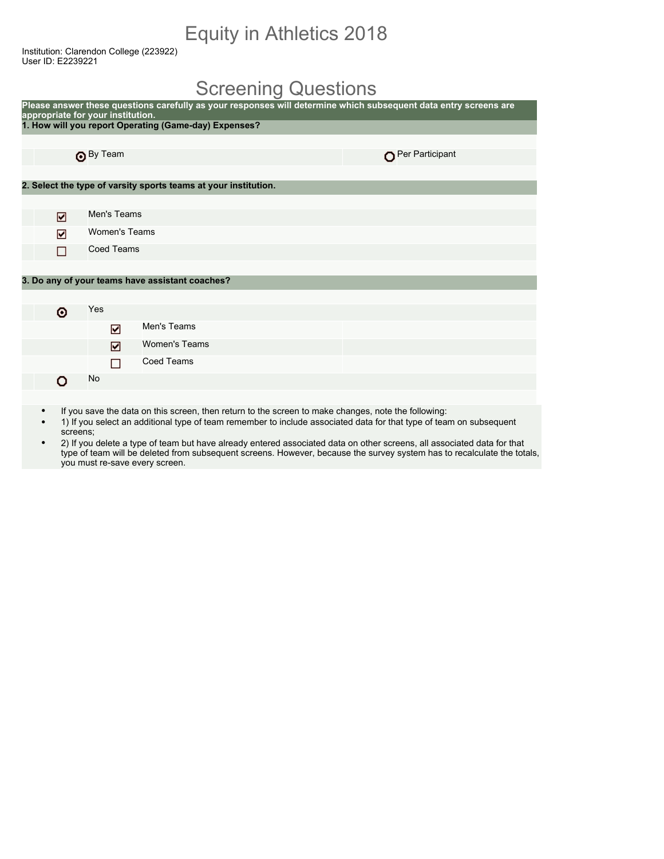## Equity in Athletics 2018

Institution: Clarendon College (223922) User ID: E2239221

### Screening Questions

| Please answer these questions carefully as your responses will determine which subsequent data entry screens are<br>appropriate for your institution. |                      |                                                                 |                 |  |  |  |  |  |  |
|-------------------------------------------------------------------------------------------------------------------------------------------------------|----------------------|-----------------------------------------------------------------|-----------------|--|--|--|--|--|--|
|                                                                                                                                                       |                      | 1. How will you report Operating (Game-day) Expenses?           |                 |  |  |  |  |  |  |
|                                                                                                                                                       |                      |                                                                 |                 |  |  |  |  |  |  |
|                                                                                                                                                       | <b>O</b> By Team     |                                                                 | Per Participant |  |  |  |  |  |  |
|                                                                                                                                                       |                      |                                                                 |                 |  |  |  |  |  |  |
|                                                                                                                                                       |                      | 2. Select the type of varsity sports teams at your institution. |                 |  |  |  |  |  |  |
|                                                                                                                                                       |                      |                                                                 |                 |  |  |  |  |  |  |
| ☑                                                                                                                                                     | Men's Teams          |                                                                 |                 |  |  |  |  |  |  |
| ☑                                                                                                                                                     | <b>Women's Teams</b> |                                                                 |                 |  |  |  |  |  |  |
|                                                                                                                                                       |                      | <b>Coed Teams</b>                                               |                 |  |  |  |  |  |  |
|                                                                                                                                                       |                      |                                                                 |                 |  |  |  |  |  |  |
|                                                                                                                                                       |                      | 3. Do any of your teams have assistant coaches?                 |                 |  |  |  |  |  |  |
|                                                                                                                                                       |                      |                                                                 |                 |  |  |  |  |  |  |
| ⊙                                                                                                                                                     | Yes                  |                                                                 |                 |  |  |  |  |  |  |
|                                                                                                                                                       | ☑                    | Men's Teams                                                     |                 |  |  |  |  |  |  |
|                                                                                                                                                       | ☑                    | <b>Women's Teams</b>                                            |                 |  |  |  |  |  |  |
|                                                                                                                                                       | □                    | <b>Coed Teams</b>                                               |                 |  |  |  |  |  |  |
| n                                                                                                                                                     | No                   |                                                                 |                 |  |  |  |  |  |  |
|                                                                                                                                                       |                      |                                                                 |                 |  |  |  |  |  |  |

- If you save the data on this screen, then return to the screen to make changes, note the following:
- 1) If you select an additional type of team remember to include associated data for that type of team on subsequent screens;
- 2) If you delete a type of team but have already entered associated data on other screens, all associated data for that type of team will be deleted from subsequent screens. However, because the survey system has to recalculate the totals, you must re-save every screen.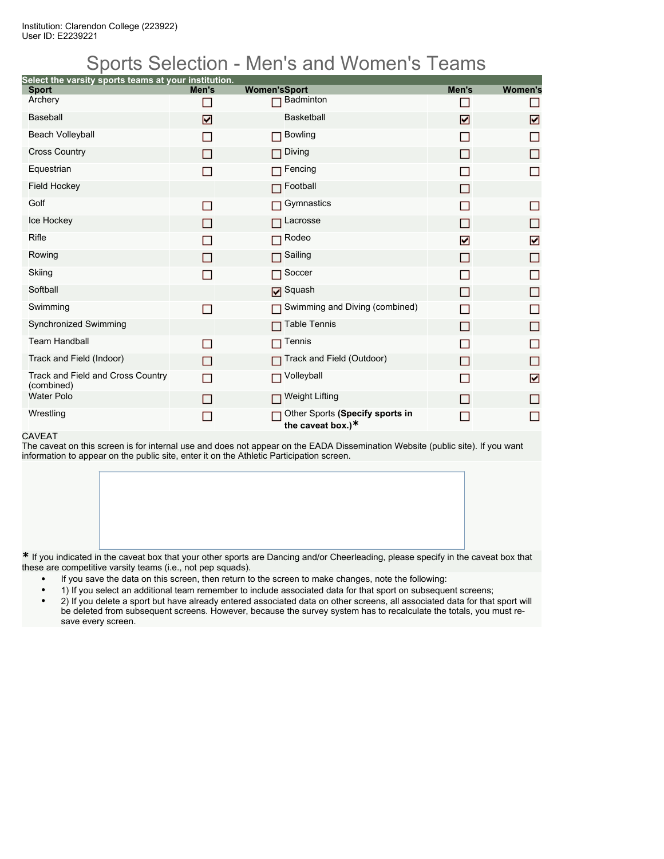## Sports Selection - Men's and Women's Teams

| Select the varsity sports teams at your institution.<br><b>Sport</b> | Men's | <b>Women'sSport</b>                                  | Men's | <b>Women's</b> |
|----------------------------------------------------------------------|-------|------------------------------------------------------|-------|----------------|
| Archery                                                              |       | Badminton                                            |       |                |
| <b>Baseball</b>                                                      | ☑     | <b>Basketball</b>                                    | ☑     | ☑              |
| <b>Beach Volleyball</b>                                              | П     | <b>Bowling</b><br>П                                  |       | П              |
| <b>Cross Country</b>                                                 | П     | Diving                                               | □     | П              |
| Equestrian                                                           | П     | Fencing                                              |       |                |
| <b>Field Hockey</b>                                                  |       | Football                                             | П     |                |
| Golf                                                                 | П     | Gymnastics                                           |       | П              |
| Ice Hockey                                                           | П     | Lacrosse                                             | П     | П              |
| Rifle                                                                | m.    | Rodeo                                                | ☑     | ☑              |
| Rowing                                                               | П     | Sailing                                              | П     | □              |
| Skiing                                                               | П     | Soccer                                               |       | П              |
| Softball                                                             |       | <b>Ø</b> Squash                                      | П     | П              |
| Swimming                                                             | ▛     | Swimming and Diving (combined)<br>П                  | □     | П              |
| Synchronized Swimming                                                |       | <b>Table Tennis</b>                                  | П     | П              |
| <b>Team Handball</b>                                                 | □     | Tennis                                               |       | П              |
| Track and Field (Indoor)                                             | П     | Track and Field (Outdoor)                            | П     | П              |
| Track and Field and Cross Country<br>(combined)                      | П     | Volleyball<br>П                                      |       | ☑              |
| <b>Water Polo</b>                                                    | П     | <b>Weight Lifting</b>                                | □     | П              |
| Wrestling                                                            | ▉     | Other Sports (Specify sports in<br>the caveat box.)* |       | П              |

#### CAVEAT

The caveat on this screen is for internal use and does not appear on the EADA Dissemination Website (public site). If you want information to appear on the public site, enter it on the Athletic Participation screen.

**\*** If you indicated in the caveat box that your other sports are Dancing and/or Cheerleading, please specify in the caveat box that these are competitive varsity teams (i.e., not pep squads).

- If you save the data on this screen, then return to the screen to make changes, note the following:
- 1) If you select an additional team remember to include associated data for that sport on subsequent screens;
- 2) If you delete a sport but have already entered associated data on other screens, all associated data for that sport will be deleted from subsequent screens. However, because the survey system has to recalculate the totals, you must resave every screen.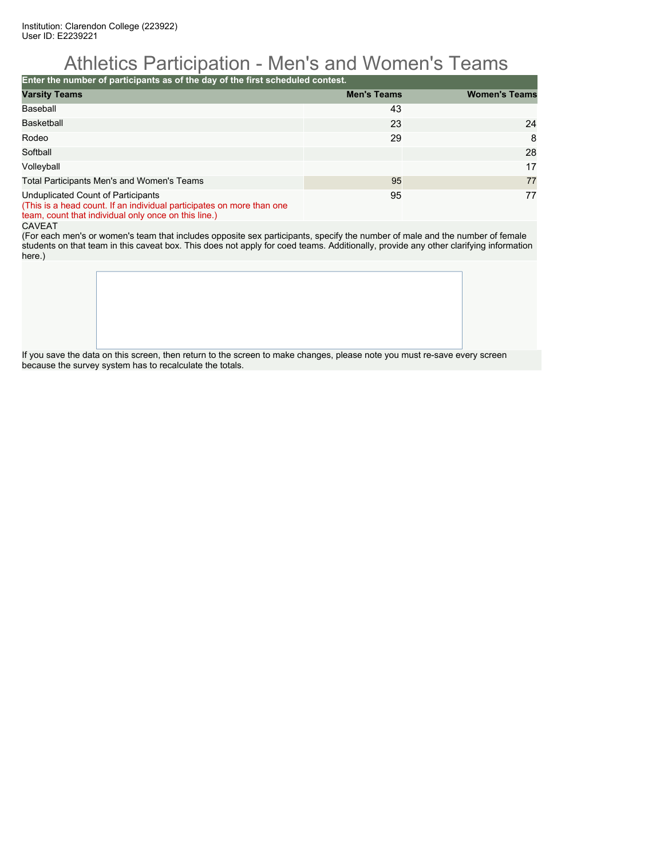### Athletics Participation - Men's and Women's Teams

**Enter the number of participants as of the day of the first scheduled contest.**

| <b>Varsity Teams</b>                                                                                        | <b>Men's Teams</b> | <b>Women's Teams</b> |
|-------------------------------------------------------------------------------------------------------------|--------------------|----------------------|
| Baseball                                                                                                    | 43                 |                      |
| <b>Basketball</b>                                                                                           | 23                 | 24                   |
| Rodeo                                                                                                       | 29                 | 8                    |
| Softball                                                                                                    |                    | 28                   |
| Volleyball                                                                                                  |                    | 17                   |
| Total Participants Men's and Women's Teams                                                                  | 95                 | 77                   |
| Unduplicated Count of Participants<br>(This is a head count. If an individual participates on more than one | 95                 | 77                   |

team, count that individual only once on this line.)

#### CAVEAT

(For each men's or women's team that includes opposite sex participants, specify the number of male and the number of female students on that team in this caveat box. This does not apply for coed teams. Additionally, provide any other clarifying information here.)

If you save the data on this screen, then return to the screen to make changes, please note you must re-save every screen because the survey system has to recalculate the totals.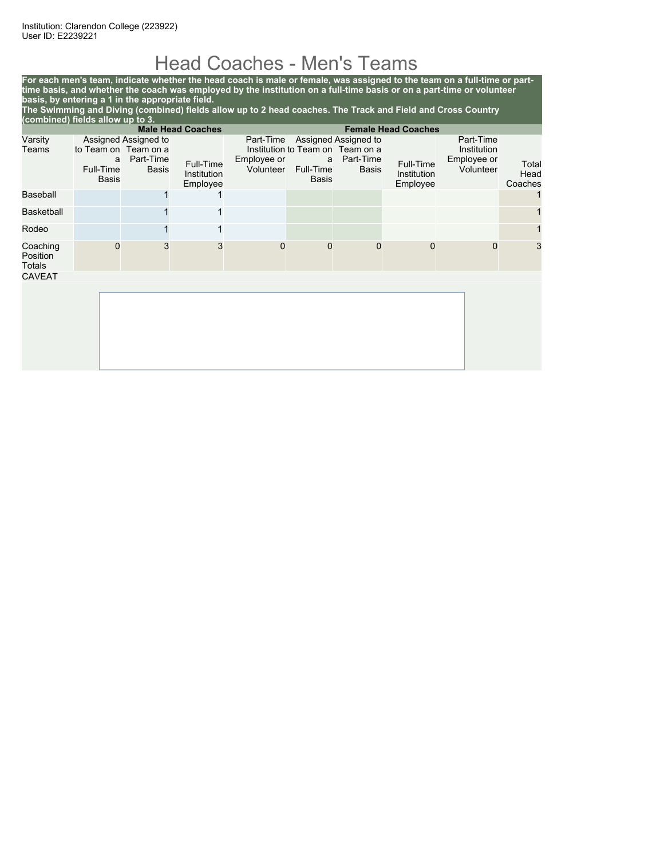## Head Coaches - Men's Teams

**For each men's team, indicate whether the head coach is male or female, was assigned to the team on a full-time or parttime basis, and whether the coach was employed by the institution on a full-time basis or on a part-time or volunteer basis, by entering a 1 in the appropriate field. The Swimming and Diving (combined) fields allow up to 2 head coaches. The Track and Field and Cross Country (combined) fields allow up to 3.**

|                                | <b>Male Head Coaches</b><br><b>Female Head Coaches</b> |                                                                           |                                      |                                       |                                       |                                                                                       |                                      |                                                      |                          |
|--------------------------------|--------------------------------------------------------|---------------------------------------------------------------------------|--------------------------------------|---------------------------------------|---------------------------------------|---------------------------------------------------------------------------------------|--------------------------------------|------------------------------------------------------|--------------------------|
| Varsity<br>Teams               | a<br>Full-Time<br><b>Basis</b>                         | Assigned Assigned to<br>to Team on Team on a<br>Part-Time<br><b>Basis</b> | Full-Time<br>Institution<br>Employee | Part-Time<br>Employee or<br>Volunteer | a<br><b>Full-Time</b><br><b>Basis</b> | Assigned Assigned to<br>Institution to Team on Team on a<br>Part-Time<br><b>Basis</b> | Full-Time<br>Institution<br>Employee | Part-Time<br>Institution<br>Employee or<br>Volunteer | Total<br>Head<br>Coaches |
| Baseball                       |                                                        |                                                                           |                                      |                                       |                                       |                                                                                       |                                      |                                                      |                          |
| Basketball                     |                                                        |                                                                           | 1                                    |                                       |                                       |                                                                                       |                                      |                                                      |                          |
| Rodeo                          |                                                        |                                                                           | 1                                    |                                       |                                       |                                                                                       |                                      |                                                      |                          |
| Coaching<br>Position<br>Totals | $\Omega$                                               | 3                                                                         | 3                                    | $\Omega$                              | $\mathbf 0$                           | $\mathbf 0$                                                                           | $\Omega$                             | 0                                                    | 3                        |
| <b>CAVEAT</b>                  |                                                        |                                                                           |                                      |                                       |                                       |                                                                                       |                                      |                                                      |                          |
|                                |                                                        |                                                                           |                                      |                                       |                                       |                                                                                       |                                      |                                                      |                          |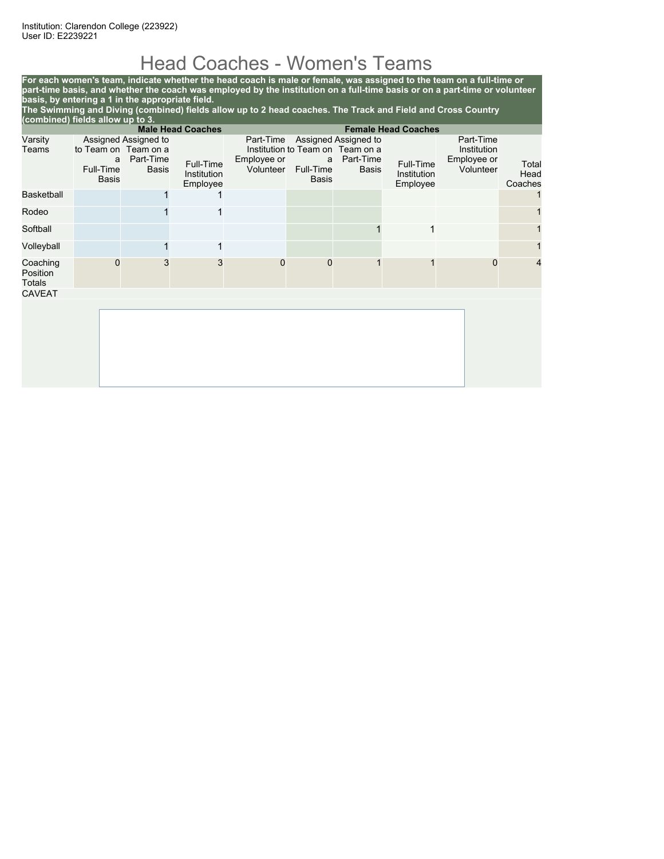## Head Coaches - Women's Teams

**For each women's team, indicate whether the head coach is male or female, was assigned to the team on a full-time or part-time basis, and whether the coach was employed by the institution on a full-time basis or on a part-time or volunteer basis, by entering a 1 in the appropriate field.**

**The Swimming and Diving (combined) fields allow up to 2 head coaches. The Track and Field and Cross Country (combined) fields allow up to 3.**

|                                       |                                |                                                                           | <b>Male Head Coaches</b>             |                                       |                                |                                                                                |                                      | <b>Female Head Coaches</b>                           |                          |  |
|---------------------------------------|--------------------------------|---------------------------------------------------------------------------|--------------------------------------|---------------------------------------|--------------------------------|--------------------------------------------------------------------------------|--------------------------------------|------------------------------------------------------|--------------------------|--|
| Varsity<br>Teams                      | a<br>Full-Time<br><b>Basis</b> | Assigned Assigned to<br>to Team on Team on a<br>Part-Time<br><b>Basis</b> | Full-Time<br>Institution<br>Employee | Part-Time<br>Employee or<br>Volunteer | a<br>Full-Time<br><b>Basis</b> | Assigned Assigned to<br>Institution to Team on Team on a<br>Part-Time<br>Basis | Full-Time<br>Institution<br>Employee | Part-Time<br>Institution<br>Employee or<br>Volunteer | Total<br>Head<br>Coaches |  |
| <b>Basketball</b>                     |                                |                                                                           |                                      |                                       |                                |                                                                                |                                      |                                                      |                          |  |
| Rodeo                                 |                                |                                                                           | 1                                    |                                       |                                |                                                                                |                                      |                                                      |                          |  |
| Softball                              |                                |                                                                           |                                      |                                       |                                |                                                                                | 1                                    |                                                      |                          |  |
| Volleyball                            |                                |                                                                           | 1                                    |                                       |                                |                                                                                |                                      |                                                      |                          |  |
| Coaching<br>Position<br><b>Totals</b> | 0                              | 3                                                                         | 3                                    | $\mathbf 0$                           | $\mathbf 0$                    |                                                                                |                                      | 0                                                    | 4                        |  |
| <b>CAVEAT</b>                         |                                |                                                                           |                                      |                                       |                                |                                                                                |                                      |                                                      |                          |  |
|                                       |                                |                                                                           |                                      |                                       |                                |                                                                                |                                      |                                                      |                          |  |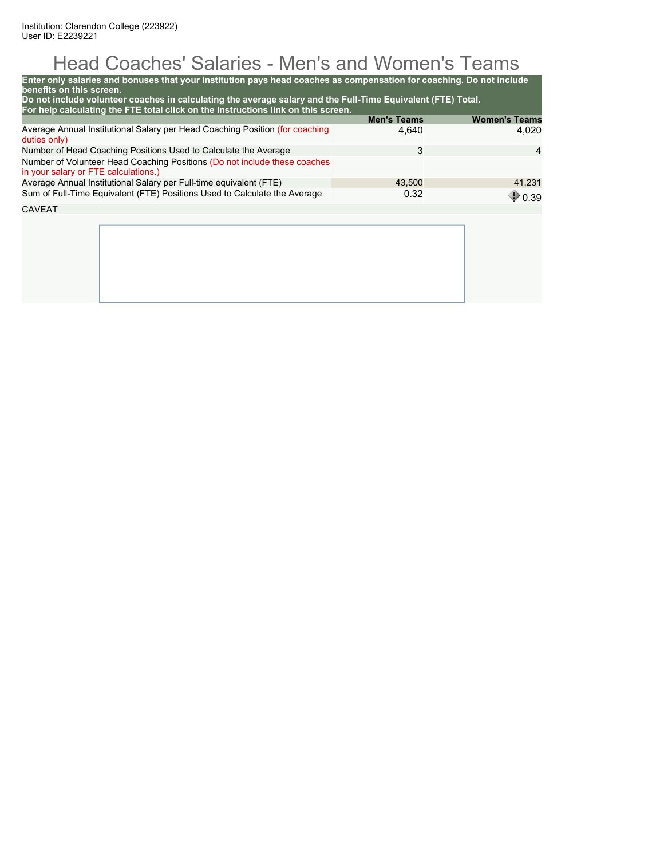# Head Coaches' Salaries - Men's and Women's Teams

| Enter only salaries and bonuses that your institution pays head coaches as compensation for coaching. Do not include<br>benefits on this screen.<br>Do not include volunteer coaches in calculating the average salary and the Full-Time Equivalent (FTE) Total. |                    |                      |
|------------------------------------------------------------------------------------------------------------------------------------------------------------------------------------------------------------------------------------------------------------------|--------------------|----------------------|
| For help calculating the FTE total click on the Instructions link on this screen.                                                                                                                                                                                | <b>Men's Teams</b> | <b>Women's Teams</b> |
| Average Annual Institutional Salary per Head Coaching Position (for coaching<br>duties only)                                                                                                                                                                     | 4,640              | 4.020                |
| Number of Head Coaching Positions Used to Calculate the Average                                                                                                                                                                                                  | 3                  | $\overline{4}$       |
| Number of Volunteer Head Coaching Positions (Do not include these coaches<br>in your salary or FTE calculations.)                                                                                                                                                |                    |                      |
| Average Annual Institutional Salary per Full-time equivalent (FTE)                                                                                                                                                                                               | 43,500             | 41,231               |
| Sum of Full-Time Equivalent (FTE) Positions Used to Calculate the Average                                                                                                                                                                                        | 0.32               | 0.39                 |
| CAVEAT                                                                                                                                                                                                                                                           |                    |                      |
|                                                                                                                                                                                                                                                                  |                    |                      |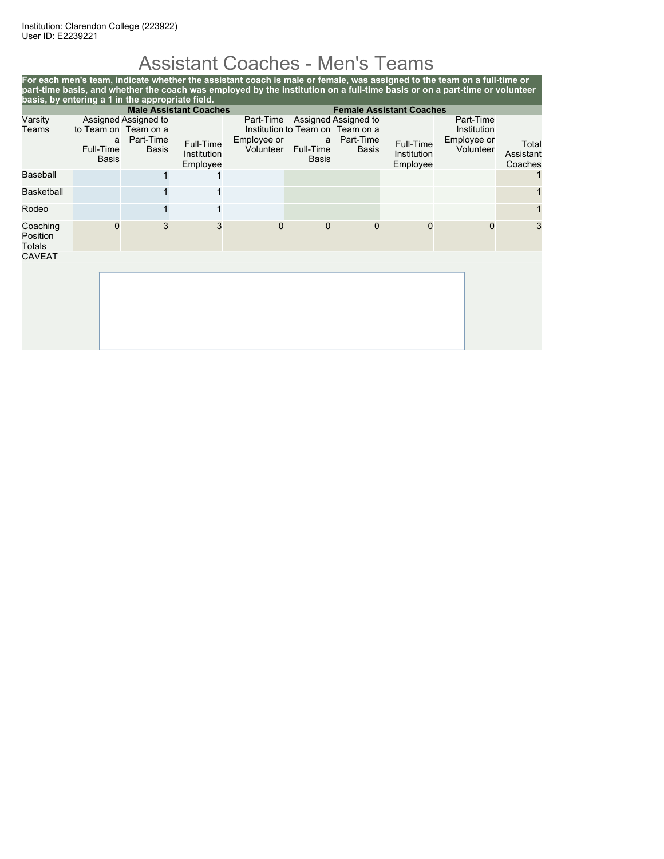# Assistant Coaches - Men's Teams

|                                                                  |                                                        |                                                   |                                      |                                       |                                       |                                                                                |                                      | For each men's team, indicate whether the assistant coach is male or female, was assigned to the team on a full-time or<br>part-time basis, and whether the coach was employed by the institution on a full-time basis or on a part-time or volunteer |                               |
|------------------------------------------------------------------|--------------------------------------------------------|---------------------------------------------------|--------------------------------------|---------------------------------------|---------------------------------------|--------------------------------------------------------------------------------|--------------------------------------|-------------------------------------------------------------------------------------------------------------------------------------------------------------------------------------------------------------------------------------------------------|-------------------------------|
| basis, by entering a 1 in the appropriate field.                 |                                                        |                                                   |                                      |                                       |                                       |                                                                                |                                      |                                                                                                                                                                                                                                                       |                               |
| <b>Male Assistant Coaches</b><br><b>Female Assistant Coaches</b> |                                                        |                                                   |                                      |                                       |                                       |                                                                                |                                      |                                                                                                                                                                                                                                                       |                               |
| Varsity<br>Teams                                                 | to Team on Team on a<br>a<br>Full-Time<br><b>Basis</b> | Assigned Assigned to<br>Part-Time<br><b>Basis</b> | Full-Time<br>Institution<br>Employee | Part-Time<br>Employee or<br>Volunteer | a<br><b>Full-Time</b><br><b>Basis</b> | Assigned Assigned to<br>Institution to Team on Team on a<br>Part-Time<br>Basis | Full-Time<br>Institution<br>Employee | Part-Time<br>Institution<br>Employee or<br>Volunteer                                                                                                                                                                                                  | Total<br>Assistant<br>Coaches |
| Baseball                                                         |                                                        |                                                   |                                      |                                       |                                       |                                                                                |                                      |                                                                                                                                                                                                                                                       |                               |
| Basketball                                                       |                                                        |                                                   |                                      |                                       |                                       |                                                                                |                                      |                                                                                                                                                                                                                                                       |                               |
| Rodeo                                                            |                                                        |                                                   | 1                                    |                                       |                                       |                                                                                |                                      |                                                                                                                                                                                                                                                       |                               |
| Coaching<br>Position<br>Totals                                   | O                                                      |                                                   | 3                                    | $\Omega$                              | 0                                     | $\Omega$                                                                       | $\Omega$                             | $\Omega$                                                                                                                                                                                                                                              |                               |
| <b>CAVEAT</b>                                                    |                                                        |                                                   |                                      |                                       |                                       |                                                                                |                                      |                                                                                                                                                                                                                                                       |                               |
|                                                                  |                                                        |                                                   |                                      |                                       |                                       |                                                                                |                                      |                                                                                                                                                                                                                                                       |                               |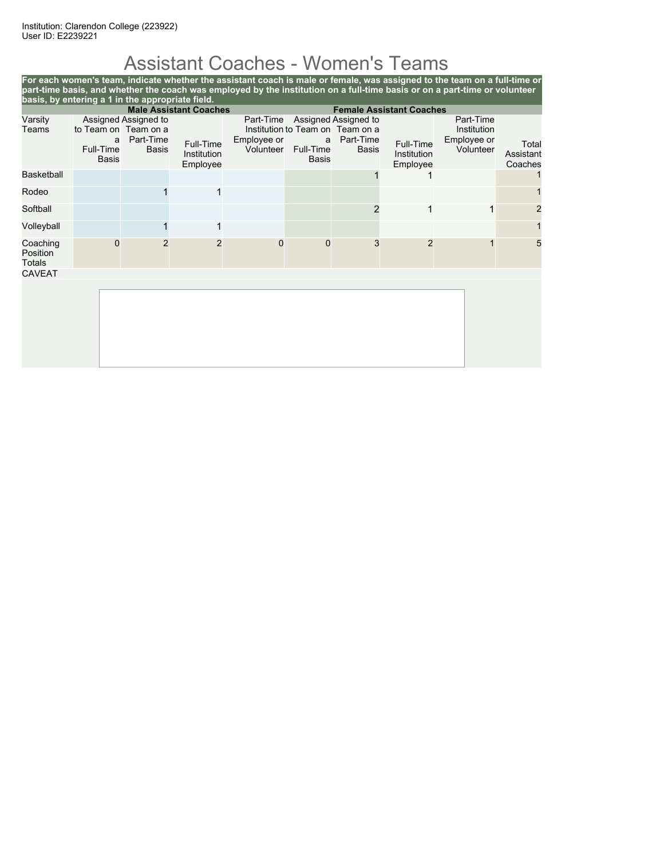## Assistant Coaches - Women's Teams

| basis, by entering a 1 in the appropriate field.                 |                                                        |                                            |                                      |                                       |                                |                                                                                       |                                      | For each women's team, indicate whether the assistant coach is male or female, was assigned to the team on a full-time or<br>part-time basis, and whether the coach was employed by the institution on a full-time basis or on a part-time or volunteer |                               |
|------------------------------------------------------------------|--------------------------------------------------------|--------------------------------------------|--------------------------------------|---------------------------------------|--------------------------------|---------------------------------------------------------------------------------------|--------------------------------------|---------------------------------------------------------------------------------------------------------------------------------------------------------------------------------------------------------------------------------------------------------|-------------------------------|
| <b>Male Assistant Coaches</b><br><b>Female Assistant Coaches</b> |                                                        |                                            |                                      |                                       |                                |                                                                                       |                                      |                                                                                                                                                                                                                                                         |                               |
| Varsity<br>Teams                                                 | to Team on Team on a<br>a<br>Full-Time<br><b>Basis</b> | Assigned Assigned to<br>Part-Time<br>Basis | Full-Time<br>Institution<br>Employee | Part-Time<br>Employee or<br>Volunteer | a<br>Full-Time<br><b>Basis</b> | Assigned Assigned to<br>Institution to Team on Team on a<br>Part-Time<br><b>Basis</b> | Full-Time<br>Institution<br>Employee | Part-Time<br>Institution<br>Employee or<br>Volunteer                                                                                                                                                                                                    | Total<br>Assistant<br>Coaches |
| <b>Basketball</b>                                                |                                                        |                                            |                                      |                                       |                                |                                                                                       |                                      |                                                                                                                                                                                                                                                         |                               |
| Rodeo                                                            |                                                        |                                            | 1                                    |                                       |                                |                                                                                       |                                      |                                                                                                                                                                                                                                                         |                               |
| Softball                                                         |                                                        |                                            |                                      |                                       |                                |                                                                                       | 1                                    |                                                                                                                                                                                                                                                         | 2                             |
| Volleyball                                                       |                                                        |                                            | 1                                    |                                       |                                |                                                                                       |                                      |                                                                                                                                                                                                                                                         |                               |
| Coaching<br>Position<br><b>Totals</b>                            | 0                                                      | $\mathfrak{p}$                             | $\overline{2}$                       | $\Omega$                              | 0                              | 3                                                                                     | $\mathcal{P}$                        |                                                                                                                                                                                                                                                         | 5                             |
| <b>CAVEAT</b>                                                    |                                                        |                                            |                                      |                                       |                                |                                                                                       |                                      |                                                                                                                                                                                                                                                         |                               |
|                                                                  |                                                        |                                            |                                      |                                       |                                |                                                                                       |                                      |                                                                                                                                                                                                                                                         |                               |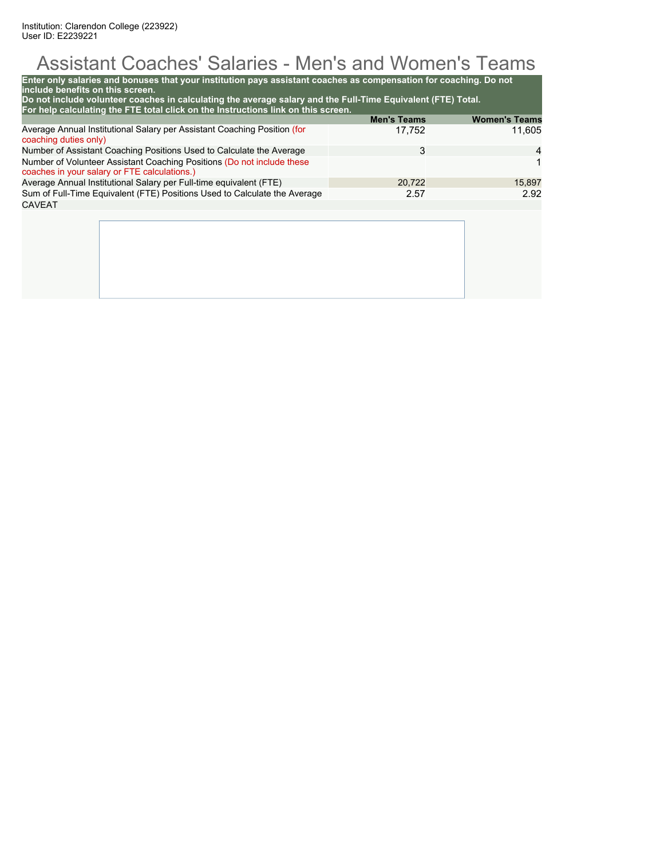## Assistant Coaches' Salaries - Men's and Women's Teams

| Do not include volunteer coaches in calculating the average salary and the Full-Time Equivalent (FTE) Total.<br>For help calculating the FTE total click on the Instructions link on this screen. | <b>Men's Teams</b> | <b>Women's Teams</b> |
|---------------------------------------------------------------------------------------------------------------------------------------------------------------------------------------------------|--------------------|----------------------|
| Average Annual Institutional Salary per Assistant Coaching Position (for<br>coaching duties only)                                                                                                 | 17,752             | 11.605               |
| Number of Assistant Coaching Positions Used to Calculate the Average                                                                                                                              | 3                  | 4                    |
| Number of Volunteer Assistant Coaching Positions (Do not include these<br>coaches in your salary or FTE calculations.)                                                                            |                    | 1                    |
| Average Annual Institutional Salary per Full-time equivalent (FTE)                                                                                                                                | 20,722             | 15,897               |
| Sum of Full-Time Equivalent (FTE) Positions Used to Calculate the Average                                                                                                                         | 2.57               | 2.92                 |
| <b>CAVEAT</b>                                                                                                                                                                                     |                    |                      |
|                                                                                                                                                                                                   |                    |                      |
|                                                                                                                                                                                                   |                    |                      |
|                                                                                                                                                                                                   |                    |                      |
|                                                                                                                                                                                                   |                    |                      |
|                                                                                                                                                                                                   |                    |                      |
|                                                                                                                                                                                                   |                    |                      |
|                                                                                                                                                                                                   |                    |                      |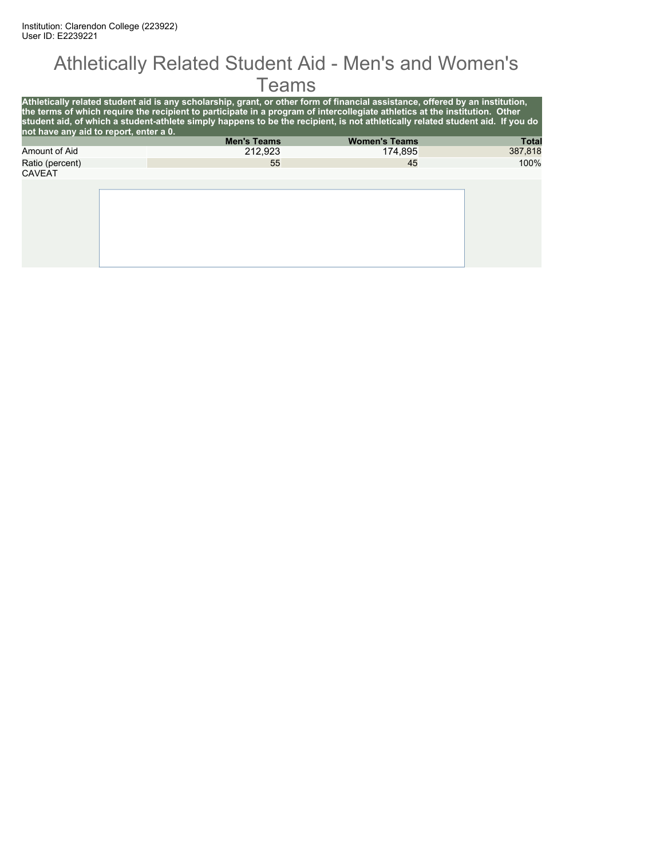#### Athletically Related Student Aid - Men's and Women's **Teams**

| not have any aid to report, enter a 0. | Athletically related student aid is any scholarship, grant, or other form of financial assistance, offered by an institution,<br>the terms of which require the recipient to participate in a program of intercollegiate athletics at the institution. Other<br>student aid, of which a student-athlete simply happens to be the recipient, is not athletically related student aid. If you do |                      |              |
|----------------------------------------|------------------------------------------------------------------------------------------------------------------------------------------------------------------------------------------------------------------------------------------------------------------------------------------------------------------------------------------------------------------------------------------------|----------------------|--------------|
|                                        | <b>Men's Teams</b>                                                                                                                                                                                                                                                                                                                                                                             | <b>Women's Teams</b> | <b>Total</b> |
| Amount of Aid                          | 212.923                                                                                                                                                                                                                                                                                                                                                                                        | 174,895              | 387,818      |
| Ratio (percent)                        | 55                                                                                                                                                                                                                                                                                                                                                                                             | 45                   | 100%         |
| <b>CAVEAT</b>                          |                                                                                                                                                                                                                                                                                                                                                                                                |                      |              |
|                                        |                                                                                                                                                                                                                                                                                                                                                                                                |                      |              |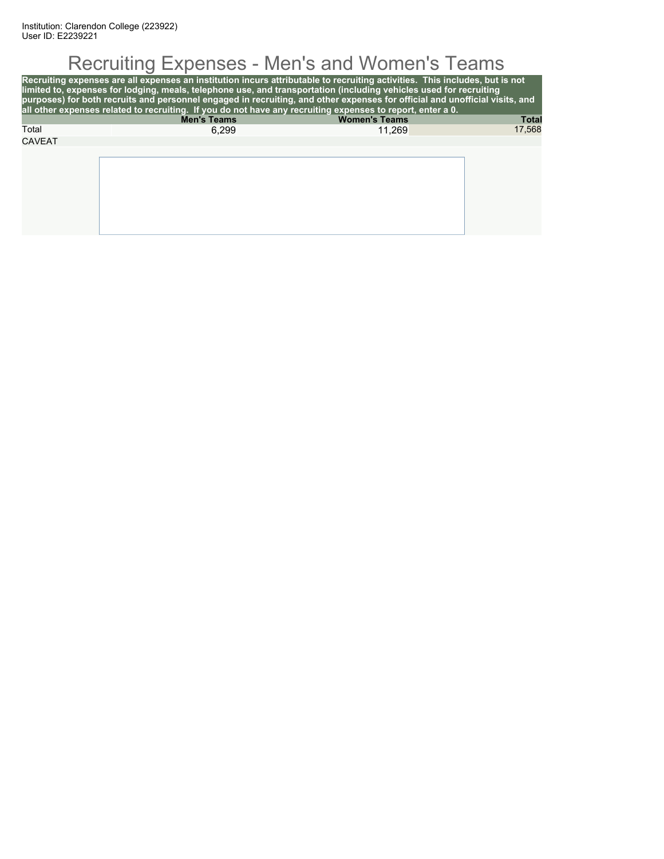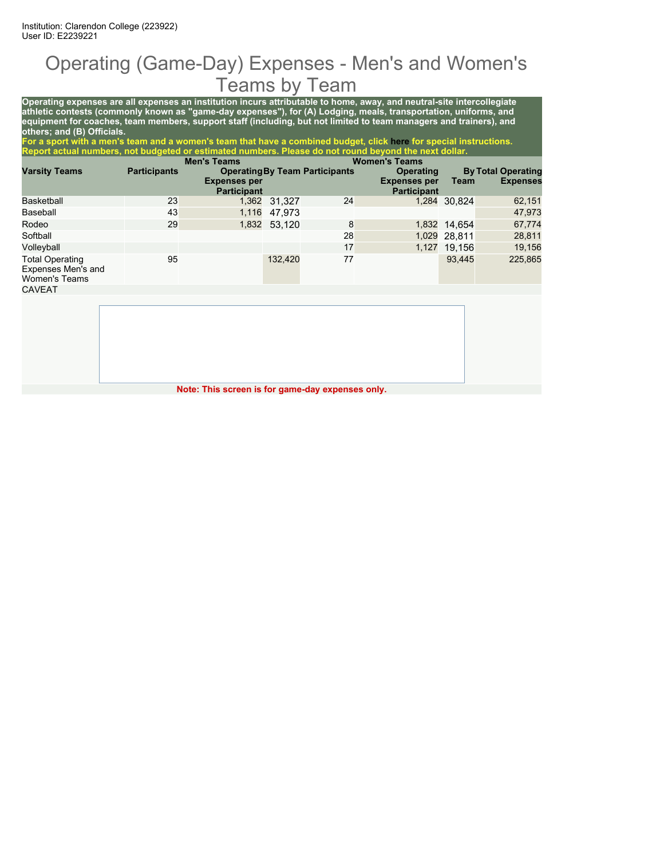## Operating (Game-Day) Expenses - Men's and Women's Teams by Team

**Operating expenses are all expenses an institution incurs attributable to home, away, and neutral-site intercollegiate athletic contests (commonly known as "game-day expenses"), for (A) Lodging, meals, transportation, uniforms, and equipment for coaches, team members, support staff (including, but not limited to team managers and trainers), and others; and (B) Officials.**

**For a sport with a men's team and a women's team that have a combined budget, click here for special instructions. Report actual numbers, not budgeted or estimated numbers. Please do not round beyond the next dollar.**

|                                                                      |                     | <b>Men's Teams</b>                        |              |                                       | <b>Women's Teams</b>                      |              |                           |
|----------------------------------------------------------------------|---------------------|-------------------------------------------|--------------|---------------------------------------|-------------------------------------------|--------------|---------------------------|
| <b>Varsity Teams</b>                                                 | <b>Participants</b> |                                           |              | <b>Operating By Team Participants</b> | <b>Operating</b>                          |              | <b>By Total Operating</b> |
|                                                                      |                     | <b>Expenses per</b><br><b>Participant</b> |              |                                       | <b>Expenses per</b><br><b>Participant</b> | Team         | <b>Expenses</b>           |
| Basketball                                                           | 23                  |                                           | 1,362 31,327 | 24                                    |                                           | 1,284 30.824 | 62,151                    |
| Baseball                                                             | 43                  | 1,116                                     | 47.973       |                                       |                                           |              | 47,973                    |
| Rodeo                                                                | 29                  |                                           | 1,832 53,120 | 8                                     |                                           | 1,832 14.654 | 67,774                    |
| Softball                                                             |                     |                                           |              | 28                                    |                                           | 1,029 28,811 | 28,811                    |
| Volleyball                                                           |                     |                                           |              | 17                                    |                                           | 1,127 19,156 | 19,156                    |
| <b>Total Operating</b><br>Expenses Men's and<br><b>Women's Teams</b> | 95                  |                                           | 132,420      | 77                                    |                                           | 93.445       | 225,865                   |
| <b>CAVEAT</b>                                                        |                     |                                           |              |                                       |                                           |              |                           |

**Note: This screen is for game-day expenses only.**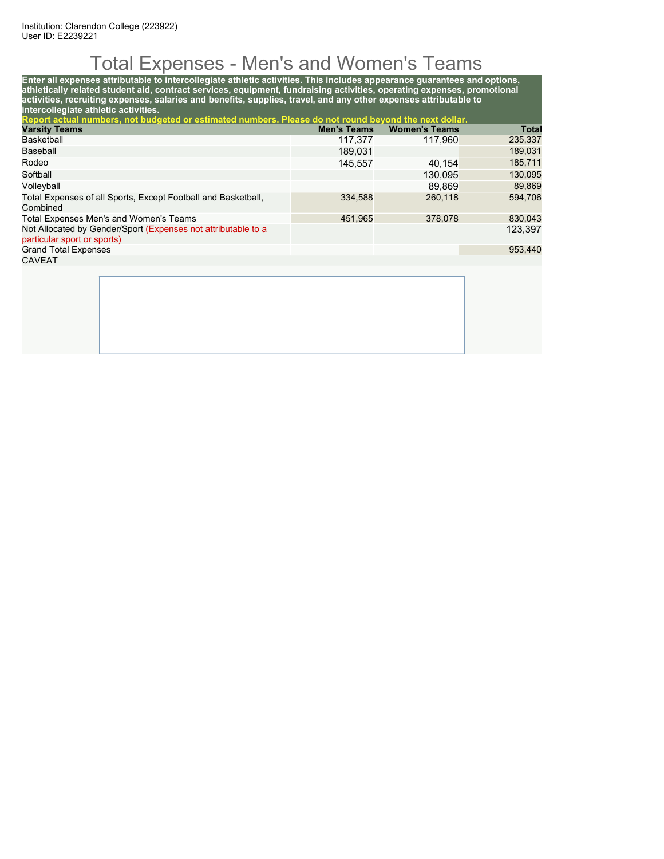## Total Expenses - Men's and Women's Teams

**Enter all expenses attributable to intercollegiate athletic activities. This includes appearance guarantees and options, athletically related student aid, contract services, equipment, fundraising activities, operating expenses, promotional activities, recruiting expenses, salaries and benefits, supplies, travel, and any other expenses attributable to intercollegiate athletic activities.**

| Report actual numbers, not budgeted or estimated numbers. Please do not round beyond the next dollar. |                    |                      |              |
|-------------------------------------------------------------------------------------------------------|--------------------|----------------------|--------------|
| <b>Varsity Teams</b>                                                                                  | <b>Men's Teams</b> | <b>Women's Teams</b> | <b>Total</b> |
| Basketball                                                                                            | 117,377            | 117.960              | 235,337      |
| Baseball                                                                                              | 189.031            |                      | 189,031      |
| Rodeo                                                                                                 | 145.557            | 40.154               | 185,711      |
| Softball                                                                                              |                    | 130.095              | 130,095      |
| Volleyball                                                                                            |                    | 89.869               | 89,869       |
| Total Expenses of all Sports, Except Football and Basketball,<br>Combined                             | 334.588            | 260,118              | 594,706      |
| Total Expenses Men's and Women's Teams                                                                | 451.965            | 378,078              | 830,043      |
| Not Allocated by Gender/Sport (Expenses not attributable to a<br>particular sport or sports)          |                    |                      | 123.397      |
| <b>Grand Total Expenses</b>                                                                           |                    |                      | 953,440      |
| <b>CAVEAT</b>                                                                                         |                    |                      |              |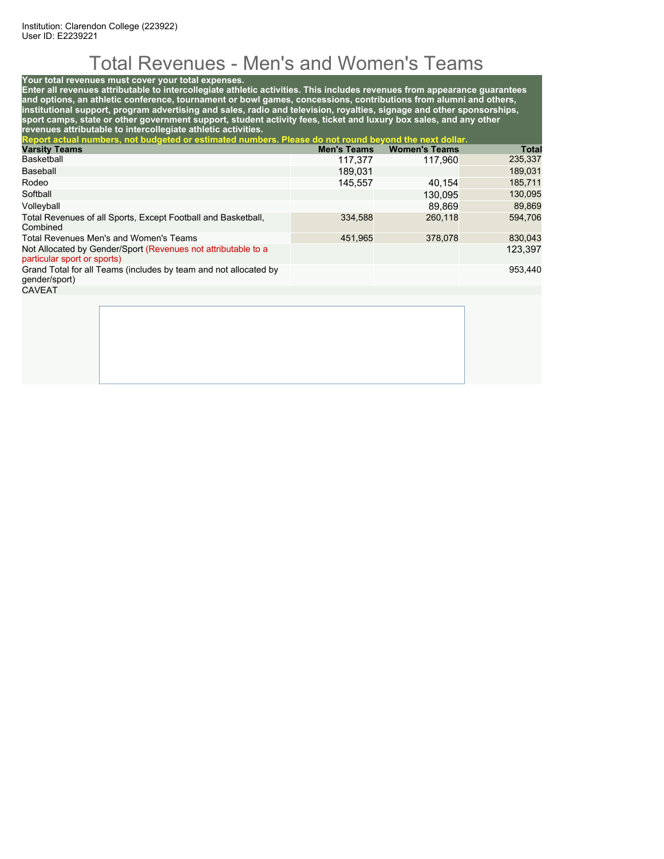## Total Revenues - Men's and Women's Teams

#### **Your total revenues must cover your total expenses.**

**Enter all revenues attributable to intercollegiate athletic activities. This includes revenues from appearance guarantees and options, an athletic conference, tournament or bowl games, concessions, contributions from alumni and others, institutional support, program advertising and sales, radio and television, royalties, signage and other sponsorships, sport camps, state or other government support, student activity fees, ticket and luxury box sales, and any other revenues attributable to intercollegiate athletic activities.**

| Report actual numbers, not budgeted or estimated numbers. Please do not round beyond the next dollar. |                    |                      |         |
|-------------------------------------------------------------------------------------------------------|--------------------|----------------------|---------|
| <b>Varsity Teams</b>                                                                                  | <b>Men's Teams</b> | <b>Women's Teams</b> | Total   |
| Basketball                                                                                            | 117,377            | 117.960              | 235,337 |
| Baseball                                                                                              | 189.031            |                      | 189,031 |
| Rodeo                                                                                                 | 145.557            | 40.154               | 185,711 |
| Softball                                                                                              |                    | 130,095              | 130,095 |
| Volleyball                                                                                            |                    | 89.869               | 89,869  |
| Total Revenues of all Sports, Except Football and Basketball,<br>Combined                             | 334,588            | 260.118              | 594.706 |
| Total Revenues Men's and Women's Teams                                                                | 451,965            | 378,078              | 830,043 |
| Not Allocated by Gender/Sport (Revenues not attributable to a<br>particular sport or sports)          |                    |                      | 123,397 |
| Grand Total for all Teams (includes by team and not allocated by<br>gender/sport)                     |                    |                      | 953,440 |
| <b>CAVEAT</b>                                                                                         |                    |                      |         |
|                                                                                                       |                    |                      |         |
|                                                                                                       |                    |                      |         |
|                                                                                                       |                    |                      |         |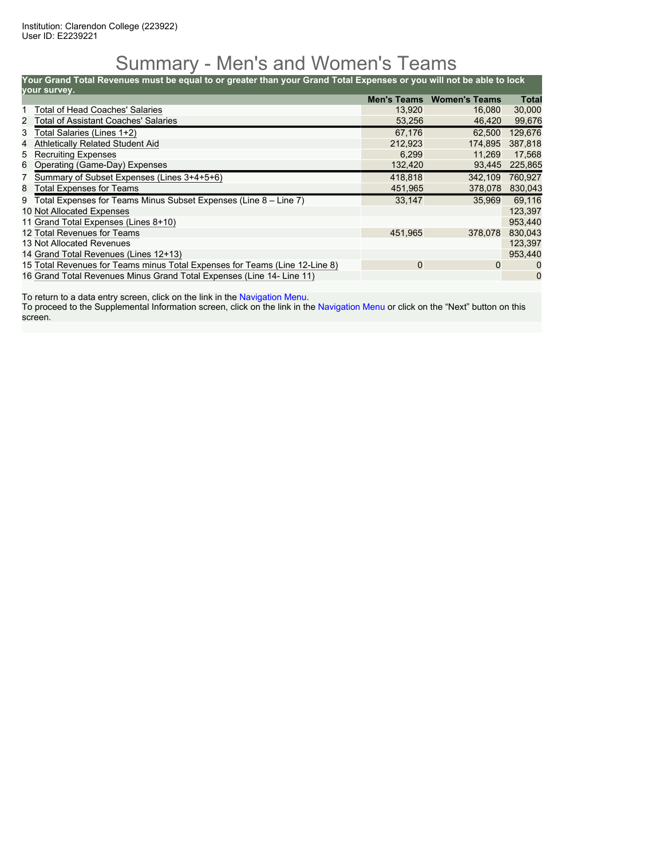### Summary - Men's and Women's Teams

**Your Grand Total Revenues must be equal to or greater than your Grand Total Expenses or you will not be able to lock**

|                | your survey.                                                                |                    |                      |              |
|----------------|-----------------------------------------------------------------------------|--------------------|----------------------|--------------|
|                |                                                                             | <b>Men's Teams</b> | <b>Women's Teams</b> | <b>Total</b> |
|                | <b>Total of Head Coaches' Salaries</b>                                      | 13,920             | 16,080               | 30,000       |
|                | 2 Total of Assistant Coaches' Salaries                                      | 53,256             | 46,420               | 99,676       |
| 3 <sup>7</sup> | Total Salaries (Lines 1+2)                                                  | 67.176             | 62.500               | 129,676      |
| 4              | <b>Athletically Related Student Aid</b>                                     | 212,923            | 174.895              | 387,818      |
|                | 5 Recruiting Expenses                                                       | 6,299              | 11.269               | 17,568       |
| 6              | Operating (Game-Day) Expenses                                               | 132,420            | 93,445               | 225,865      |
|                | 7 Summary of Subset Expenses (Lines 3+4+5+6)                                | 418,818            | 342.109              | 760,927      |
| 8              | Total Expenses for Teams                                                    | 451,965            | 378,078              | 830,043      |
|                | 9 Total Expenses for Teams Minus Subset Expenses (Line 8 – Line 7)          | 33,147             | 35.969               | 69,116       |
|                | 10 Not Allocated Expenses                                                   |                    |                      | 123,397      |
|                | 11 Grand Total Expenses (Lines 8+10)                                        |                    |                      | 953,440      |
|                | 12 Total Revenues for Teams                                                 | 451,965            | 378,078              | 830,043      |
|                | 13 Not Allocated Revenues                                                   |                    |                      | 123.397      |
|                | 14 Grand Total Revenues (Lines 12+13)                                       |                    |                      | 953.440      |
|                | 15 Total Revenues for Teams minus Total Expenses for Teams (Line 12-Line 8) | 0                  | 0                    | $\Omega$     |
|                | 16 Grand Total Revenues Minus Grand Total Expenses (Line 14- Line 11)       |                    |                      | $\mathbf 0$  |

To return to a data entry screen, click on the link in the Navigation Menu.

To proceed to the Supplemental Information screen, click on the link in the Navigation Menu or click on the "Next" button on this screen.